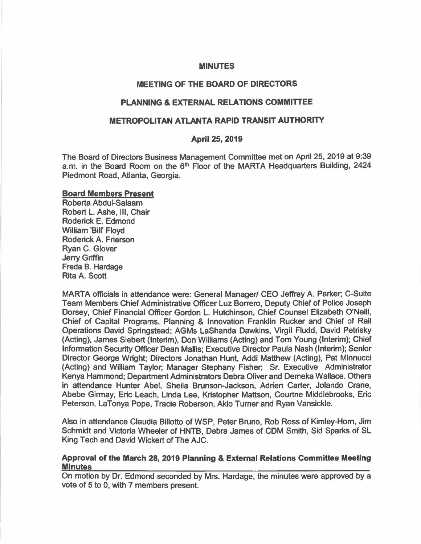#### **MINUTES**

#### **MEETING OF THE BOARD OF DIRECTORS**

#### **PLANNING** & **EXTERNAL RELATIONS COMMITTEE**

#### **METROPOLITAN ATLANTA RAPID TRANSIT AUTHORITY**

#### **April 25, 2019**

The Board of Directors Business Management Committee met on April 25, 2019 at 9:39 a.m. in the Board Room on the 6<sup>th</sup> Floor of the MARTA Headquarters Building, 2424 Piedmont Road, Atlanta, Georgia.

#### **Board Members Present**

Roberta Abdul-Salaam Robert L. Ashe, Ill, Chair Roderick E. Edmond William 'Bill' Floyd Roderick A. Frierson Ryan C. Glover Jerry Griffin Freda B. Hardage Rita A. Scott

MARTA officials in attendance were: General Manager/ CEO Jeffrey A. Parker; C-Suite Team Members Chief Administrative Officer Luz Borrero, Deputy Chief of Police Joseph Dorsey, Chief Financial Officer Gordon L. Hutchinson, Chief Counsel Elizabeth O'Neill, Chief of Capital Programs, Planning & Innovation Franklin Rucker and Chief of Rail Operations David Springstead; AGMs LaShanda Dawkins, Virgil Fludd, David Petrisky (Acting), James Siebert (Interim), Don Williams (Acting) and Tom Young (Interim); Chief Information Security Officer Dean Mallis; Executive Director Paula Nash (Interim); Senior Director George Wright; Directors Jonathan Hunt, Addi Matthew (Acting), Pat Minnucci (Acting) and William Taylor; Manager Stephany Fisher; Sr. Executive Administrator Kenya Hammond; Department Administrators Debra Oliver and Demeka Wallace. Others in attendance Hunter Abel, Sheila Brunson-Jackson, Adrien Carter, Jolanda Crane, Abebe Girmay, Eric Leach, Linda Lee, Kristopher Mattson, Courtne Middlebrooks, Eric Peterson, La Tonya Pope, Tracie Roberson, Akio Turner and Ryan Vansickle.

Also in attendance Claudia Billotto of WSP, Peter Bruno, Rob Ross of Kimley-Hom, Jim Schmidt and Victoria Wheeler of HNTB, Debra James of COM Smith, Sid Sparks of SL King Tech and David Wickert of The AJC.

# **Approval of the March 28, 2019 Planning** & **External Relations Committee Meeting Minutes**

On motion by Dr. Edmond seconded by Mrs. Hardage, the minutes were approved by a vote of 5 to 0, with 7 members present.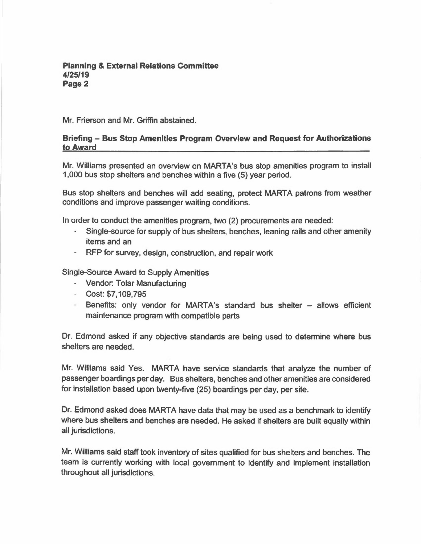Mr. Frierson and Mr. Griffin abstained.

# **Briefing - Bus Stop Amenities Program Overview and Request for Authorizations to Award**

Mr. Williams presented an overview on MARTA's bus stop amenities program to install 1,000 bus stop shelters and benches within a five (5) year period.

Bus stop shelters and benches will add seating, protect MARTA patrons from weather conditions and improve passenger waiting conditions.

In order to conduct the amenities program, two (2) procurements are needed:

- Single-source for supply of bus shelters, benches, leaning rails and other amenity items and an
- RFP for survey, design, construction, and repair work

Single-Source Award to Supply Amenities

- Vendor: Tolar Manufacturing
- Cost: \$7,109,795
- Benefits: only vendor for MARTA's standard bus shelter allows efficient maintenance program with compatible parts

Dr. Edmond asked if any objective standards are being used to determine where bus shelters are needed.

Mr. Williams said Yes. MARTA have service standards that analyze the number of passenger boardings per day. Bus shelters, benches and other amenities are considered for installation based upon twenty-five (25) boardings per day, per site.

Dr. Edmond asked does MARTA have data that may be used as a benchmark to identify where bus shelters and benches are needed. He asked if shelters are built equally within all jurisdictions.

Mr. Williams said staff took inventory of sites qualified for bus shelters and benches. The team is currently working with local government to identify and implement installation throughout all jurisdictions.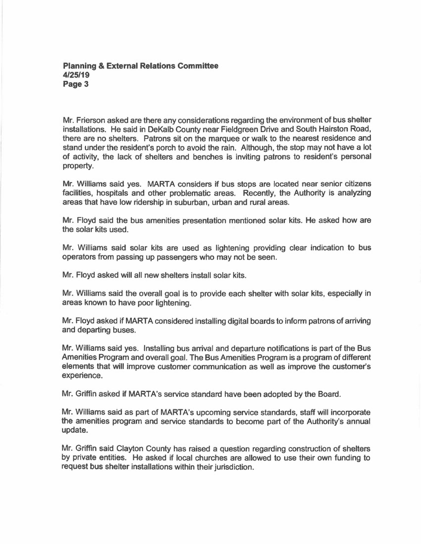Mr. Frierson asked are there any considerations regarding the environment of bus shelter installations. He said in DeKalb County near Fieldgreen Drive and South Hairston Road, there are no shelters. Patrons sit on the marquee or walk to the nearest residence and stand under the resident's porch to avoid the rain. Although, the stop may not have a lot of activity, the lack of shelters and benches is inviting patrons to resident's personal property.

Mr. Williams said yes. MARTA considers if bus stops are located near senior citizens facilities, hospitals and other problematic areas. Recently, the Authority is analyzing areas that have low ridership in suburban, urban and rural areas.

Mr. Floyd said the bus amenities presentation mentioned solar kits. He asked how are the solar kits used.

Mr. Williams said solar kits are used as lightening providing clear indication to bus operators from passing up passengers who may not be seen.

Mr. Floyd asked will all new shelters install solar kits.

Mr. Williams said the overall goal is to provide each shelter with solar kits, especially in areas known to have poor lightening.

Mr. Floyd asked if MARTA considered installing digital boards to inform patrons of arriving and departing buses.

Mr. Williams said yes. Installing bus arrival and departure notifications is part of the Bus Amenities Program and overall goal. The Bus Amenities Program is a program of different elements that will improve customer communication as well as improve the customer's experience.

Mr. Griffin asked if MARTA's service standard have been adopted by the Board.

Mr. Williams said as part of MARTA's upcoming service standards, staff will incorporate the amenities program and service standards to become part of the Authority's annual update.

Mr. Griffin said Clayton County has raised a question regarding construction of shelters by private entities. He asked if local churches are allowed to use their own funding to request bus shelter installations within their jurisdiction.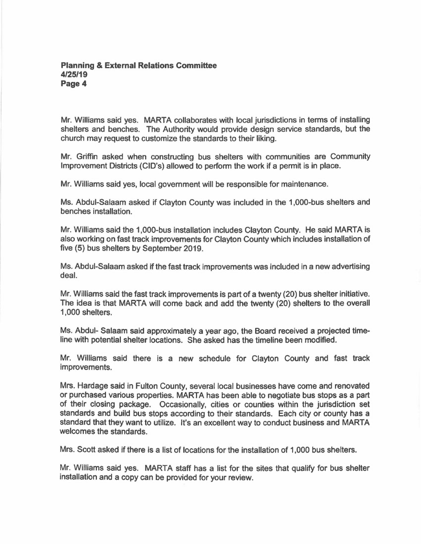Mr. Williams said yes. MARTA collaborates with local jurisdictions in terms of installing shelters and benches. The Authority would provide design service standards, but the church may request to customize the standards to their liking.

Mr. Griffin asked when constructing bus shelters with communities are Community Improvement Districts (CID's) allowed to perform the work if a permit is in place.

Mr. Williams said yes, local government will be responsible for maintenance.

Ms. Abdul-Salaam asked if Clayton County was included in the 1,000-bus shelters and benches installation.

Mr. Williams said the 1,000-bus installation includes Clayton County. He said MARTA is also working on fast track improvements for Clayton County which includes installation of five (5) bus shelters by September 2019.

Ms. Abdul-Salaam asked if the fast track improvements was included in a new advertising deal.

Mr. Williams said the fast track improvements is part of a twenty (20) bus shelter initiative. The idea is that MARTA will come back and add the twenty (20) shelters to the overall 1,000 shelters.

Ms. Abdul- Salaam said approximately a year ago, the Board received a projected timeline with potential shelter locations. She asked has the timeline been modified.

Mr. Williams said there is a new schedule for Clayton County and fast track improvements.

Mrs. Hardage said in Fulton County, several local businesses have come and renovated or purchased various properties. MARTA has been able to negotiate bus stops as a part of their closing package. Occasionally, cities or counties within the jurisdiction set standards and build bus stops according to their standards. Each city or county has a standard that they want to utilize. It's an excellent way to conduct business and MARTA welcomes the standards.

Mrs. Scott asked if there is a list of locations for the installation of 1,000 bus shelters.

Mr. Williams said yes. MARTA staff has a list for the sites that qualify for bus shelter installation and a copy can be provided for your review.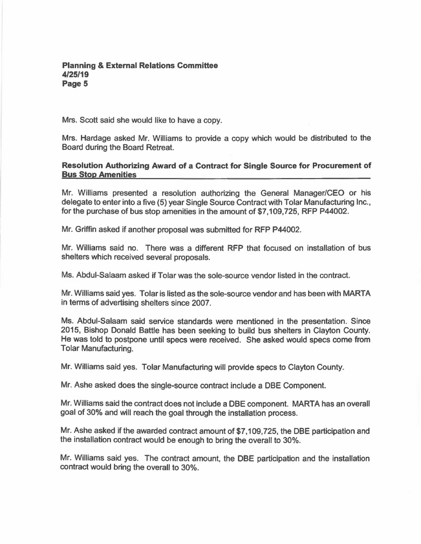Mrs. Scott said she would like to have a copy.

Mrs. Hardage asked Mr. Williams to provide a copy which would be distributed to the Board during the Board Retreat.

# **Resolution Authorizing Award of a Contract for Single Source for Procurement of Bus Stop Amenities**

Mr. Williams presented a resolution authorizing the General Manager/CEO or his delegate to enter into a five (5) year Single Source Contract with Tolar Manufacturing Inc., for the purchase of bus stop amenities in the amount of \$7,109,725, RFP P44002.

Mr. Griffin asked if another proposal was submitted for RFP P44002.

Mr. Williams said no. There was a different RFP that focused on installation of bus shelters which received several proposals.

Ms. Abdul-Salaam asked if Tolar was the sole-source vendor listed in the contract.

Mr. Williams said yes. Tolar is listed as the sole-source vendor and has been with MARTA in terms of advertising shelters since 2007.

Ms. Abdul-Salaam said service standards were mentioned in the presentation. Since 2015, Bishop Donald Battle has been seeking to build bus shelters in Clayton County. He was told to postpone until specs were received. She asked would specs come from Tolar Manufacturing.

Mr. Williams said yes. Tolar Manufacturing will provide specs to Clayton County.

Mr. Ashe asked does the single-source contract include a DBE Component.

Mr. Williams said the contract does not include a DBE component. MARTA has an overall goal of 30% and will reach the goal through the installation process.

Mr. Ashe asked if the awarded contract amount of \$7,109,725, the DBE participation and the installation contract would be enough to bring the overall to 30%.

Mr. Williams said yes. The contract amount, the DBE participation and the installation contract would bring the overall to 30%.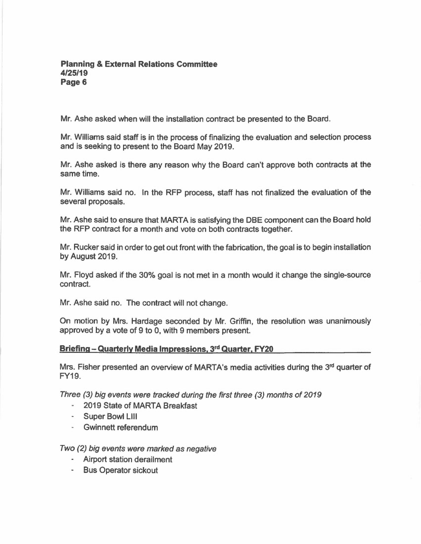Mr. Ashe asked when will the installation contract be presented to the Board.

Mr. Williams said staff is in the process of finalizing the evaluation and selection process and is seeking to present to the Board May 2019.

Mr. Ashe asked is there any reason why the Board can't approve both contracts at the same time.

Mr. Williams said no. In the RFP process, staff has not finalized the evaluation of the several proposals.

Mr. Ashe said to ensure that MARTA is satisfying the DBE component can the Board hold the RFP contract for a month and vote on both contracts together.

Mr. Rucker said in order to get out front with the fabrication, the goal is to begin installation by August 2019.

Mr. Floyd asked if the 30% goal is not met in a month would it change the single-source contract.

Mr. Ashe said no. The contract will not change.

On motion by Mrs. Hardage seconded by Mr. Griffin, the resolution was unanimously approved by a vote of 9 to 0, with 9 members present.

# **Briefing - Quarterly Media Impressions, 3 rd Quarter, FY20**

Mrs. Fisher presented an overview of MARTA's media activities during the 3<sup>rd</sup> quarter of FY19.

*Three (3) big events were tracked during the first three (3) months of 2019* 

- 2019 State of MARTA Breakfast
- Super Bowl Lill
- Gwinnett referendum

*Two (2) big events were marked as negative* 

- Airport station derailment
- Bus Operator sickout